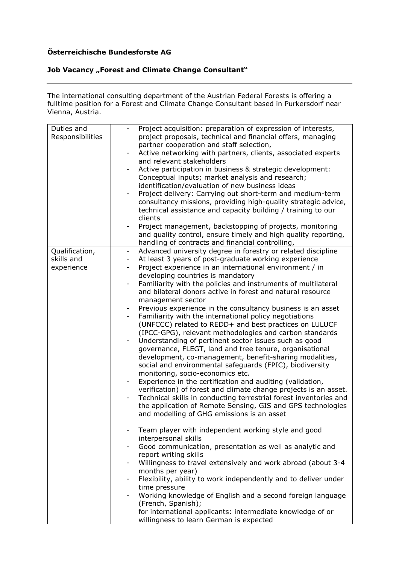## **Österreichische Bundesforste AG**

## **Job Vacancy "Forest and Climate Change Consultant"**

The international consulting department of the Austrian Federal Forests is offering a fulltime position for a Forest and Climate Change Consultant based in Purkersdorf near Vienna, Austria.

| Duties and<br>Responsibilities             | Project acquisition: preparation of expression of interests,<br>Ξ.<br>project proposals, technical and financial offers, managing<br>partner cooperation and staff selection,<br>Active networking with partners, clients, associated experts<br>-<br>and relevant stakeholders<br>Active participation in business & strategic development:<br>Conceptual inputs; market analysis and research;<br>identification/evaluation of new business ideas<br>Project delivery: Carrying out short-term and medium-term<br>consultancy missions, providing high-quality strategic advice,                                                                                                                                                                                                                                                                                                                                                                                                                                                                                                                                                                                                                                                                                                                              |
|--------------------------------------------|-----------------------------------------------------------------------------------------------------------------------------------------------------------------------------------------------------------------------------------------------------------------------------------------------------------------------------------------------------------------------------------------------------------------------------------------------------------------------------------------------------------------------------------------------------------------------------------------------------------------------------------------------------------------------------------------------------------------------------------------------------------------------------------------------------------------------------------------------------------------------------------------------------------------------------------------------------------------------------------------------------------------------------------------------------------------------------------------------------------------------------------------------------------------------------------------------------------------------------------------------------------------------------------------------------------------|
|                                            | technical assistance and capacity building / training to our<br>clients<br>Project management, backstopping of projects, monitoring<br>and quality control, ensure timely and high quality reporting,                                                                                                                                                                                                                                                                                                                                                                                                                                                                                                                                                                                                                                                                                                                                                                                                                                                                                                                                                                                                                                                                                                           |
|                                            | handling of contracts and financial controlling,                                                                                                                                                                                                                                                                                                                                                                                                                                                                                                                                                                                                                                                                                                                                                                                                                                                                                                                                                                                                                                                                                                                                                                                                                                                                |
| Qualification,<br>skills and<br>experience | Advanced university degree in forestry or related discipline<br>At least 3 years of post-graduate working experience<br>$\overline{\phantom{a}}$<br>Project experience in an international environment / in<br>-<br>developing countries is mandatory<br>Familiarity with the policies and instruments of multilateral<br>-<br>and bilateral donors active in forest and natural resource<br>management sector<br>Previous experience in the consultancy business is an asset<br>Ξ.<br>Familiarity with the international policy negotiations<br>$\overline{\phantom{a}}$<br>(UNFCCC) related to REDD+ and best practices on LULUCF<br>(IPCC-GPG), relevant methodologies and carbon standards<br>Understanding of pertinent sector issues such as good<br>-<br>governance, FLEGT, land and tree tenure, organisational<br>development, co-management, benefit-sharing modalities,<br>social and environmental safeguards (FPIC), biodiversity<br>monitoring, socio-economics etc.<br>Experience in the certification and auditing (validation,<br>-<br>verification) of forest and climate change projects is an asset.<br>Technical skills in conducting terrestrial forest inventories and<br>-<br>the application of Remote Sensing, GIS and GPS technologies<br>and modelling of GHG emissions is an asset |
|                                            | Team player with independent working style and good<br>interpersonal skills<br>Good communication, presentation as well as analytic and<br>report writing skills<br>Willingness to travel extensively and work abroad (about 3-4<br>months per year)<br>Flexibility, ability to work independently and to deliver under<br>time pressure<br>Working knowledge of English and a second foreign language<br>(French, Spanish);<br>for international applicants: intermediate knowledge of or<br>willingness to learn German is expected                                                                                                                                                                                                                                                                                                                                                                                                                                                                                                                                                                                                                                                                                                                                                                           |